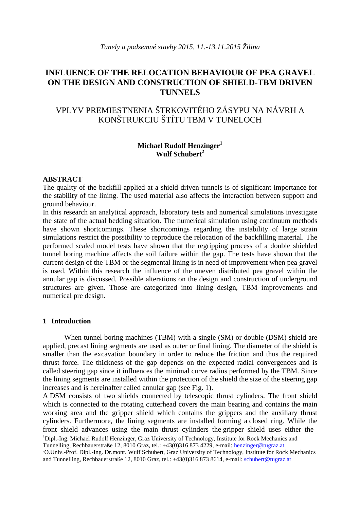# **INFLUENCE OF THE RELOCATION BEHAVIOUR OF PEA GRAVEL ON THE DESIGN AND CONSTRUCTION OF SHIELD-TBM DRIVEN TUNNELS**

# VPLYV PREMIESTNENIA ŠTRKOVITÉHO ZÁSYPU NA NÁVRH A KONŠTRUKCIU ŠTÍTU TBM V TUNELOCH

## **Michael Rudolf Henzinger<sup>1</sup> Wulf Schubert<sup>2</sup>**

#### **ABSTRACT**

The quality of the backfill applied at a shield driven tunnels is of significant importance for the stability of the lining. The used material also affects the interaction between support and ground behaviour.

In this research an analytical approach, laboratory tests and numerical simulations investigate the state of the actual bedding situation. The numerical simulation using continuum methods have shown shortcomings. These shortcomings regarding the instability of large strain simulations restrict the possibility to reproduce the relocation of the backfilling material. The performed scaled model tests have shown that the regripping process of a double shielded tunnel boring machine affects the soil failure within the gap. The tests have shown that the current design of the TBM or the segmental lining is in need of improvement when pea gravel is used. Within this research the influence of the uneven distributed pea gravel within the annular gap is discussed. Possible alterations on the design and construction of underground structures are given. Those are categorized into lining design, TBM improvements and numerical pre design.

#### **1 Introduction**

When tunnel boring machines (TBM) with a single (SM) or double (DSM) shield are applied, precast lining segments are used as outer or final lining. The diameter of the shield is smaller than the excavation boundary in order to reduce the friction and thus the required thrust force. The thickness of the gap depends on the expected radial convergences and is called steering gap since it influences the minimal curve radius performed by the TBM. Since the lining segments are installed within the protection of the shield the size of the steering gap increases and is hereinafter called annular gap (see Fig. 1).

A DSM consists of two shields connected by telescopic thrust cylinders. The front shield which is connected to the rotating cutterhead covers the main bearing and contains the main working area and the gripper shield which contains the grippers and the auxiliary thrust cylinders. Furthermore, the lining segments are installed forming a closed ring. While the front shield advances using the main thrust cylinders the gripper shield uses either the

<sup>&</sup>lt;sup>1</sup>Dipl.-Ing. Michael Rudolf Henzinger, Graz University of Technology, Institute for Rock Mechanics and Tunnelling, Rechbauerstraße 12, 8010 Graz, tel.: +43(0)316 873 4229, e-mail: henzinger@tugraz.at <sup>2</sup>O.Univ.-Prof. Dipl.-Ing. Dr.mont. Wulf Schubert, Graz University of Technology, Institute for Rock Mechanics and Tunnelling, Rechbauerstraße 12, 8010 Graz, tel.: +43(0)316 873 8614, e-mail: schubert@tugraz.at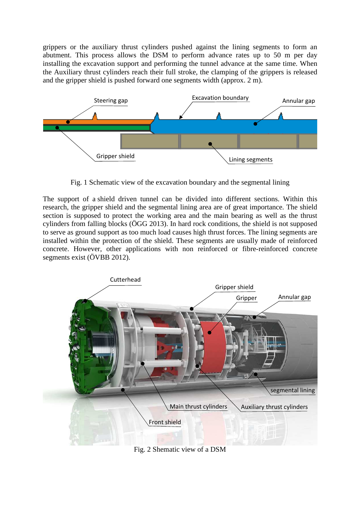grippers or the auxiliary thrust cylinders pushed against the lining segments to form an abutment. This process allows the DSM to perform advance rates up to 50 m per day installing the excavation support and performing the tunnel advance at the same time. When the Auxiliary thrust cylinders reach their full stroke, the clamping of the grippers is released and the gripper shield is pushed forward one segments width (approx. 2 m).



Fig. 1 Schematic view of the excavation boundary and the segmental lining

The support of a shield driven tunnel can be divided into different sections. Within this research, the gripper shield and the segmental lining area are of great importance. The shield section is supposed to protect the working area and the main bearing as well as the thrust cylinders from falling blocks (ÖGG 2013). In hard rock conditions, the shield is not supposed to serve as ground support as too much load causes high thrust forces. The lining segments are installed within the protection of the shield. These segments are usually made of reinforced concrete. However, other applications with non reinforced or fibre-reinforced concrete segments exist (ÖVBB 2012).



Fig. 2 Shematic view of a DSM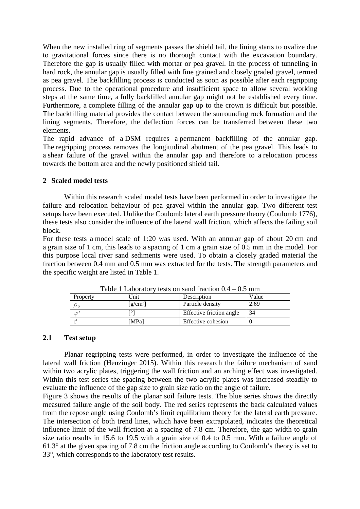When the new installed ring of segments passes the shield tail, the lining starts to ovalize due to gravitational forces since there is no thorough contact with the excavation boundary. Therefore the gap is usually filled with mortar or pea gravel. In the process of tunneling in hard rock, the annular gap is usually filled with fine grained and closely graded gravel, termed as pea gravel. The backfilling process is conducted as soon as possible after each regripping process. Due to the operational procedure and insufficient space to allow several working steps at the same time, a fully backfilled annular gap might not be established every time. Furthermore, a complete filling of the annular gap up to the crown is difficult but possible. The backfilling material provides the contact between the surrounding rock formation and the lining segments. Therefore, the deflection forces can be transferred between these two elements.

The rapid advance of a DSM requires a permanent backfilling of the annular gap. The regripping process removes the longitudinal abutment of the pea gravel. This leads to a shear failure of the gravel within the annular gap and therefore to a relocation process towards the bottom area and the newly positioned shield tail.

#### **2 Scaled model tests**

Within this research scaled model tests have been performed in order to investigate the failure and relocation behaviour of pea gravel within the annular gap. Two different test setups have been executed. Unlike the Coulomb lateral earth pressure theory (Coulomb 1776), these tests also consider the influence of the lateral wall friction, which affects the failing soil block.

For these tests a model scale of 1:20 was used. With an annular gap of about 20 cm and a grain size of 1 cm, this leads to a spacing of 1 cm a grain size of 0.5 mm in the model. For this purpose local river sand sediments were used. To obtain a closely graded material the fraction between 0.4 mm and 0.5 mm was extracted for the tests. The strength parameters and the specific weight are listed in Table 1.

| Table 1 Laboratory tests on saily fraction $0.4 - 0.5$ finite |                                             |                          |       |
|---------------------------------------------------------------|---------------------------------------------|--------------------------|-------|
| Property                                                      | Unit                                        | Description              | Value |
|                                                               | $\left[\frac{\text{g}}{\text{cm}^3}\right]$ | Particle density         | 2.69  |
|                                                               |                                             | Effective friction angle | 34    |
|                                                               | [MPa]                                       | Effective cohesion       |       |

Table 1 Laboratory tests on sand fraction  $0.4 - 0.5$  mm

#### **2.1 Test setup**

Planar regripping tests were performed, in order to investigate the influence of the lateral wall friction (Henzinger 2015). Within this research the failure mechanism of sand within two acrylic plates, triggering the wall friction and an arching effect was investigated. Within this test series the spacing between the two acrylic plates was increased steadily to evaluate the influence of the gap size to grain size ratio on the angle of failure.

Figure 3 shows the results of the planar soil failure tests. The blue series shows the directly measured failure angle of the soil body. The red series represents the back calculated values from the repose angle using Coulomb's limit equilibrium theory for the lateral earth pressure. The intersection of both trend lines, which have been extrapolated, indicates the theoretical influence limit of the wall friction at a spacing of 7.8 cm. Therefore, the gap width to grain size ratio results in 15.6 to 19.5 with a grain size of 0.4 to 0.5 mm. With a failure angle of 61.3° at the given spacing of 7.8 cm the friction angle according to Coulomb's theory is set to 33°, which corresponds to the laboratory test results.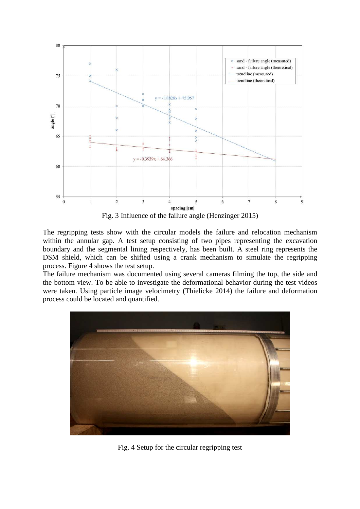

Fig. 3 Influence of the failure angle (Henzinger 2015)

The regripping tests show with the circular models the failure and relocation mechanism within the annular gap. A test setup consisting of two pipes representing the excavation boundary and the segmental lining respectively, has been built. A steel ring represents the DSM shield, which can be shifted using a crank mechanism to simulate the regripping process. Figure 4 shows the test setup.

The failure mechanism was documented using several cameras filming the top, the side and the bottom view. To be able to investigate the deformational behavior during the test videos were taken. Using particle image velocimetry (Thielicke 2014) the failure and deformation process could be located and quantified.



Fig. 4 Setup for the circular regripping test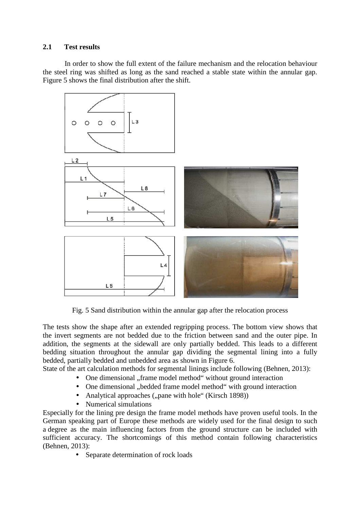## **2.1 Test results**

In order to show the full extent of the failure mechanism and the relocation behaviour the steel ring was shifted as long as the sand reached a stable state within the annular gap. Figure 5 shows the final distribution after the shift.



Fig. 5 Sand distribution within the annular gap after the relocation process

The tests show the shape after an extended regripping process. The bottom view shows that the invert segments are not bedded due to the friction between sand and the outer pipe. In addition, the segments at the sidewall are only partially bedded. This leads to a different bedding situation throughout the annular gap dividing the segmental lining into a fully bedded, partially bedded and unbedded area as shown in Figure 6.

State of the art calculation methods for segmental linings include following (Behnen, 2013):

- One dimensional "frame model method" without ground interaction
- One dimensional "bedded frame model method" with ground interaction
- Analytical approaches  $($ "pane with hole" (Kirsch 1898))
- Numerical simulations

Especially for the lining pre design the frame model methods have proven useful tools. In the German speaking part of Europe these methods are widely used for the final design to such a degree as the main influencing factors from the ground structure can be included with sufficient accuracy. The shortcomings of this method contain following characteristics (Behnen, 2013):

• Separate determination of rock loads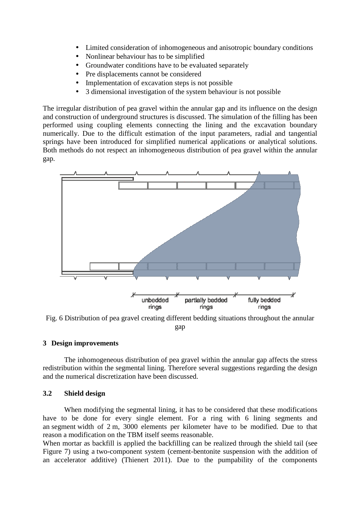- Limited consideration of inhomogeneous and anisotropic boundary conditions
- Nonlinear behaviour has to be simplified
- Groundwater conditions have to be evaluated separately
- Pre displacements cannot be considered
- Implementation of excavation steps is not possible
- 3 dimensional investigation of the system behaviour is not possible

The irregular distribution of pea gravel within the annular gap and its influence on the design and construction of underground structures is discussed. The simulation of the filling has been performed using coupling elements connecting the lining and the excavation boundary numerically. Due to the difficult estimation of the input parameters, radial and tangential springs have been introduced for simplified numerical applications or analytical solutions. Both methods do not respect an inhomogeneous distribution of pea gravel within the annular gap.



Fig. 6 Distribution of pea gravel creating different bedding situations throughout the annular gap

## **3 Design improvements**

The inhomogeneous distribution of pea gravel within the annular gap affects the stress redistribution within the segmental lining. Therefore several suggestions regarding the design and the numerical discretization have been discussed.

## **3.2 Shield design**

When modifying the segmental lining, it has to be considered that these modifications have to be done for every single element. For a ring with 6 lining segments and an segment width of 2 m, 3000 elements per kilometer have to be modified. Due to that reason a modification on the TBM itself seems reasonable.

When mortar as backfill is applied the backfilling can be realized through the shield tail (see Figure 7) using a two-component system (cement-bentonite suspension with the addition of an accelerator additive) (Thienert 2011). Due to the pumpability of the components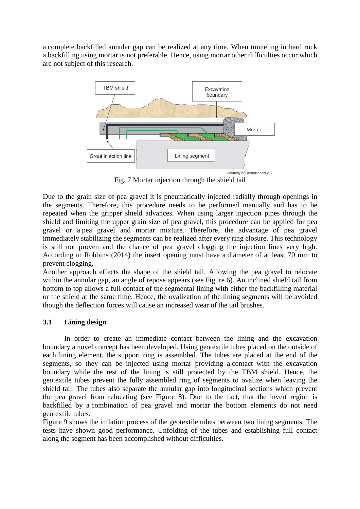a complete backfilled annular gap can be realized at any time. When tunneling in hard rock a backfilling using mortar is not preferable. Hence, using mortar other difficulties occur which are not subject of this research.



Fig. 7 Mortar injection through the shield tail

Due to the grain size of pea gravel it is pneumatically injected radially through openings in the segments. Therefore, this procedure needs to be performed manually and has to be repeated when the gripper shield advances. When using larger injection pipes through the shield and limiting the upper grain size of pea gravel, this procedure can be applied for pea gravel or a pea gravel and mortar mixture. Therefore, the advantage of pea gravel immediately stabilizing the segments can be realized after every ring closure. This technology is still not proven and the chance of pea gravel clogging the injection lines very high. According to Robbins (2014) the insert opening must have a diameter of at least 70 mm to prevent clogging.

Another approach effects the shape of the shield tail. Allowing the pea gravel to relocate within the annular gap, an angle of repose appears (see Figure 6). An inclined shield tail from bottom to top allows a full contact of the segmental lining with either the backfilling material or the shield at the same time. Hence, the ovalization of the lining segments will be avoided though the deflection forces will cause an increased wear of the tail brushes.

## **3.1 Lining design**

In order to create an immediate contact between the lining and the excavation boundary a novel concept has been developed. Using geotextile tubes placed on the outside of each lining element, the support ring is assembled. The tubes are placed at the end of the segments, so they can be injected using mortar providing a contact with the excavation boundary while the rest of the lining is still protected by the TBM shield. Hence, the geotextile tubes prevent the fully assembled ring of segments to ovalize when leaving the shield tail. The tubes also separate the annular gap into longitudinal sections which prevent the pea gravel from relocating (see Figure 8). Due to the fact, that the invert region is backfilled by a combination of pea gravel and mortar the bottom elements do not need geotextile tubes.

Figure 9 shows the inflation process of the geotextile tubes between two lining segments. The tests have shown good performance. Unfolding of the tubes and establishing full contact along the segment has been accomplished without difficulties.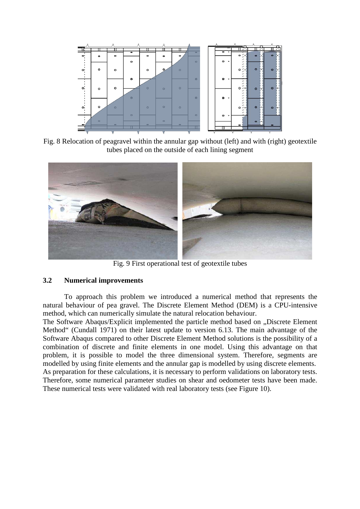

Fig. 8 Relocation of peagravel within the annular gap without (left) and with (right) geotextile tubes placed on the outside of each lining segment



Fig. 9 First operational test of geotextile tubes

#### **3.2 Numerical improvements**

To approach this problem we introduced a numerical method that represents the natural behaviour of pea gravel. The Discrete Element Method (DEM) is a CPU-intensive method, which can numerically simulate the natural relocation behaviour.

The Software Abaqus/Explicit implemented the particle method based on ..Discrete Element Method" (Cundall 1971) on their latest update to version 6.13. The main advantage of the Software Abaqus compared to other Discrete Element Method solutions is the possibility of a combination of discrete and finite elements in one model. Using this advantage on that problem, it is possible to model the three dimensional system. Therefore, segments are modelled by using finite elements and the annular gap is modelled by using discrete elements. As preparation for these calculations, it is necessary to perform validations on laboratory tests. Therefore, some numerical parameter studies on shear and oedometer tests have been made. These numerical tests were validated with real laboratory tests (see Figure 10).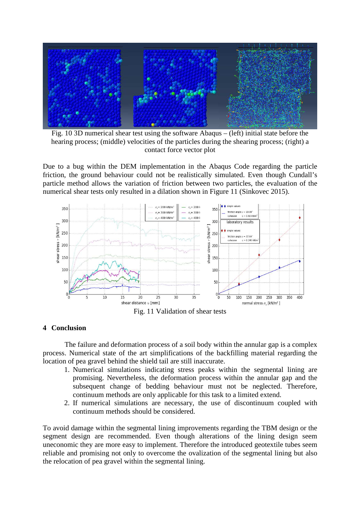

Fig. 10 3D numerical shear test using the software Abaqus – (left) initial state before the hearing process; (middle) velocities of the particles during the shearing process; (right) a contact force vector plot

Due to a bug within the DEM implementation in the Abaqus Code regarding the particle friction, the ground behaviour could not be realistically simulated. Even though Cundall's particle method allows the variation of friction between two particles, the evaluation of the numerical shear tests only resulted in a dilation shown in Figure 11 (Sinkovec 2015).



Fig. 11 Validation of shear tests

## **4 Conclusion**

The failure and deformation process of a soil body within the annular gap is a complex process. Numerical state of the art simplifications of the backfilling material regarding the location of pea gravel behind the shield tail are still inaccurate.

- 1. Numerical simulations indicating stress peaks within the segmental lining are promising. Nevertheless, the deformation process within the annular gap and the subsequent change of bedding behaviour must not be neglected. Therefore, continuum methods are only applicable for this task to a limited extend.
- 2. If numerical simulations are necessary, the use of discontinuum coupled with continuum methods should be considered.

To avoid damage within the segmental lining improvements regarding the TBM design or the segment design are recommended. Even though alterations of the lining design seem uneconomic they are more easy to implement. Therefore the introduced geotextile tubes seem reliable and promising not only to overcome the ovalization of the segmental lining but also the relocation of pea gravel within the segmental lining.